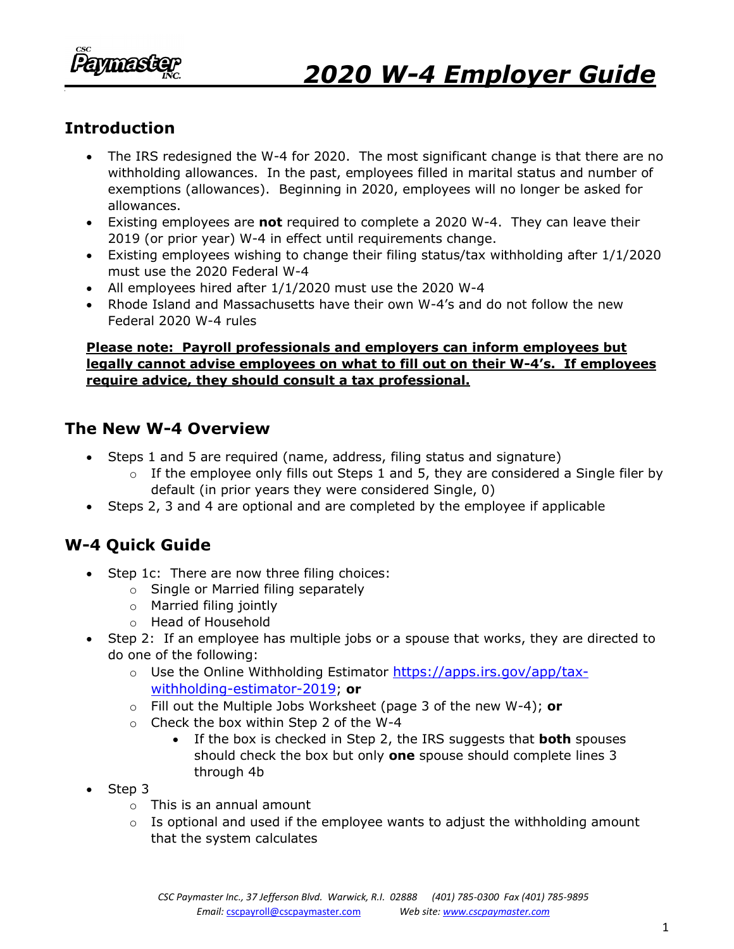

### **Introduction**

- The IRS redesigned the W-4 for 2020. The most significant change is that there are no withholding allowances. In the past, employees filled in marital status and number of exemptions (allowances). Beginning in 2020, employees will no longer be asked for allowances.
- Existing employees are **not** required to complete a 2020 W-4. They can leave their 2019 (or prior year) W-4 in effect until requirements change.
- Existing employees wishing to change their filing status/tax withholding after 1/1/2020 must use the 2020 Federal W-4
- All employees hired after 1/1/2020 must use the 2020 W-4
- Rhode Island and Massachusetts have their own W-4's and do not follow the new Federal 2020 W-4 rules

#### **Please note: Payroll professionals and employers can inform employees but legally cannot advise employees on what to fill out on their W-4's. If employees require advice, they should consult a tax professional.**

#### **The New W-4 Overview**

- Steps 1 and 5 are required (name, address, filing status and signature)
	- $\circ$  If the employee only fills out Steps 1 and 5, they are considered a Single filer by default (in prior years they were considered Single, 0)
- Steps 2, 3 and 4 are optional and are completed by the employee if applicable

# **W-4 Quick Guide**

- Step 1c: There are now three filing choices:
	- o Single or Married filing separately
	- o Married filing jointly
	- o Head of Household
- Step 2: If an employee has multiple jobs or a spouse that works, they are directed to do one of the following:
	- o Use the Online Withholding Estimator [https://apps.irs.gov/app/tax](https://apps.irs.gov/app/tax-withholding-estimator-2019)[withholding-estimator-2019](https://apps.irs.gov/app/tax-withholding-estimator-2019); **or**
	- o Fill out the Multiple Jobs Worksheet (page 3 of the new W-4); **or**
	- o Check the box within Step 2 of the W-4
		- If the box is checked in Step 2, the IRS suggests that **both** spouses should check the box but only **one** spouse should complete lines 3 through 4b
- Step 3
	- o This is an annual amount
	- $\circ$  Is optional and used if the employee wants to adjust the withholding amount that the system calculates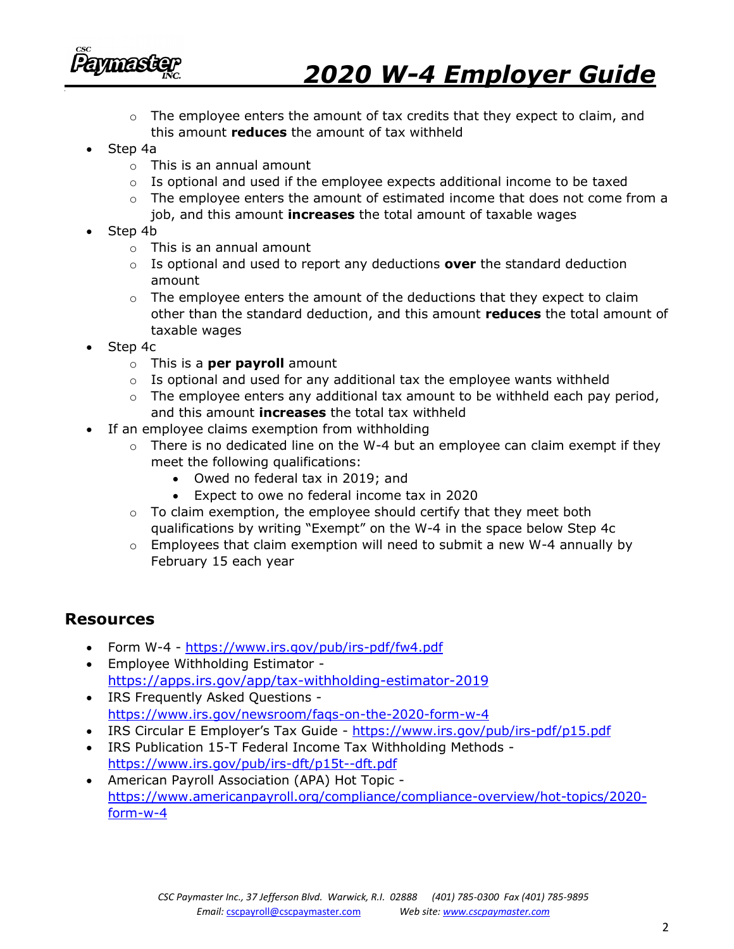

# *2020 W-4 Employer Guide*

- $\circ$  The employee enters the amount of tax credits that they expect to claim, and this amount **reduces** the amount of tax withheld
- Step 4a
	- o This is an annual amount
	- $\circ$  Is optional and used if the employee expects additional income to be taxed
	- $\circ$  The employee enters the amount of estimated income that does not come from a job, and this amount **increases** the total amount of taxable wages
- Step 4b
	- o This is an annual amount
	- o Is optional and used to report any deductions **over** the standard deduction amount
	- $\circ$  The employee enters the amount of the deductions that they expect to claim other than the standard deduction, and this amount **reduces** the total amount of taxable wages
- Step 4c
	- o This is a **per payroll** amount
	- $\circ$  Is optional and used for any additional tax the employee wants withheld
	- $\circ$  The employee enters any additional tax amount to be withheld each pay period, and this amount **increases** the total tax withheld
- If an employee claims exemption from withholding
	- $\circ$  There is no dedicated line on the W-4 but an employee can claim exempt if they meet the following qualifications:
		- Owed no federal tax in 2019; and
		- Expect to owe no federal income tax in 2020
	- $\circ$  To claim exemption, the employee should certify that they meet both qualifications by writing "Exempt" on the W-4 in the space below Step 4c
	- $\circ$  Employees that claim exemption will need to submit a new W-4 annually by February 15 each year

#### **Resources**

- Form W-4 <https://www.irs.gov/pub/irs-pdf/fw4.pdf>
- Employee Withholding Estimator <https://apps.irs.gov/app/tax-withholding-estimator-2019>
- IRS Frequently Asked Questions <https://www.irs.gov/newsroom/faqs-on-the-2020-form-w-4>
- IRS Circular E Employer's Tax Guide <https://www.irs.gov/pub/irs-pdf/p15.pdf>
- IRS Publication 15-T Federal Income Tax Withholding Methods <https://www.irs.gov/pub/irs-dft/p15t--dft.pdf>
- American Payroll Association (APA) Hot Topic [https://www.americanpayroll.org/compliance/compliance-overview/hot-topics/2020](https://www.americanpayroll.org/compliance/compliance-overview/hot-topics/2020-form-w-4) [form-w-4](https://www.americanpayroll.org/compliance/compliance-overview/hot-topics/2020-form-w-4)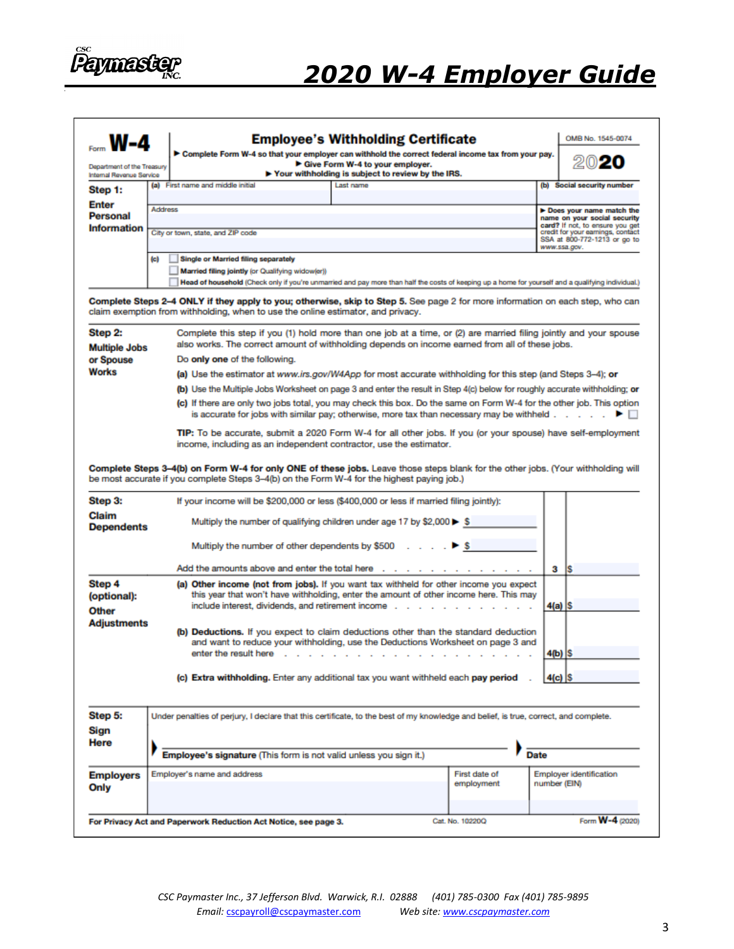

| Department of the Treasury<br>Internal Revenue Service                                                             |                                                                                                                            |                                                                                                                                                                                                        | > Complete Form W-4 so that your employer can withhold the correct federal income tax from your pay.<br>Give Form W-4 to your employer.<br>Your withholding is subject to review by the IRS.                                                                                                                              |                                                          |              |                                                                                                                      |  |
|--------------------------------------------------------------------------------------------------------------------|----------------------------------------------------------------------------------------------------------------------------|--------------------------------------------------------------------------------------------------------------------------------------------------------------------------------------------------------|---------------------------------------------------------------------------------------------------------------------------------------------------------------------------------------------------------------------------------------------------------------------------------------------------------------------------|----------------------------------------------------------|--------------|----------------------------------------------------------------------------------------------------------------------|--|
| Step 1:                                                                                                            |                                                                                                                            | (a) First name and middle initial                                                                                                                                                                      | <b>Last name</b>                                                                                                                                                                                                                                                                                                          |                                                          |              | (b) Social security number                                                                                           |  |
| <b>Enter</b>                                                                                                       | <b>Address</b>                                                                                                             |                                                                                                                                                                                                        |                                                                                                                                                                                                                                                                                                                           |                                                          |              |                                                                                                                      |  |
| Personal                                                                                                           |                                                                                                                            |                                                                                                                                                                                                        |                                                                                                                                                                                                                                                                                                                           | Does your name match the<br>name on your social security |              |                                                                                                                      |  |
| <b>Information</b>                                                                                                 |                                                                                                                            | City or town, state, and ZIP code                                                                                                                                                                      |                                                                                                                                                                                                                                                                                                                           |                                                          |              | card? If not, to ensure you get<br>credit for your earnings, contact<br>SSA at 800-772-1213 or go to<br>www.ssa.gov. |  |
|                                                                                                                    |                                                                                                                            |                                                                                                                                                                                                        |                                                                                                                                                                                                                                                                                                                           |                                                          |              |                                                                                                                      |  |
|                                                                                                                    | (a)                                                                                                                        | <b>Single or Married filing separately</b>                                                                                                                                                             |                                                                                                                                                                                                                                                                                                                           |                                                          |              |                                                                                                                      |  |
|                                                                                                                    |                                                                                                                            | Married filing jointly (or Qualifying widow(er))<br>Head of household (Check only if you're unmarried and pay more than half the costs of keeping up a home for yourself and a qualifying individual.) |                                                                                                                                                                                                                                                                                                                           |                                                          |              |                                                                                                                      |  |
|                                                                                                                    |                                                                                                                            |                                                                                                                                                                                                        |                                                                                                                                                                                                                                                                                                                           |                                                          |              |                                                                                                                      |  |
|                                                                                                                    |                                                                                                                            |                                                                                                                                                                                                        | Complete Steps 2–4 ONLY if they apply to you; otherwise, skip to Step 5. See page 2 for more information on each step, who can<br>claim exemption from withholding, when to use the online estimator, and privacy.                                                                                                        |                                                          |              |                                                                                                                      |  |
| Step 2:                                                                                                            |                                                                                                                            |                                                                                                                                                                                                        | Complete this step if you (1) hold more than one job at a time, or (2) are married filing jointly and your spouse                                                                                                                                                                                                         |                                                          |              |                                                                                                                      |  |
| <b>Multiple Jobs</b>                                                                                               |                                                                                                                            |                                                                                                                                                                                                        | also works. The correct amount of withholding depends on income earned from all of these jobs.                                                                                                                                                                                                                            |                                                          |              |                                                                                                                      |  |
| or Spouse                                                                                                          |                                                                                                                            | Do only one of the following.                                                                                                                                                                          |                                                                                                                                                                                                                                                                                                                           |                                                          |              |                                                                                                                      |  |
| <b>Works</b>                                                                                                       | (a) Use the estimator at www.irs.gov/W4App for most accurate withholding for this step (and Steps 3–4); or                 |                                                                                                                                                                                                        |                                                                                                                                                                                                                                                                                                                           |                                                          |              |                                                                                                                      |  |
|                                                                                                                    | (b) Use the Multiple Jobs Worksheet on page 3 and enter the result in Step 4(c) below for roughly accurate withholding; or |                                                                                                                                                                                                        |                                                                                                                                                                                                                                                                                                                           |                                                          |              |                                                                                                                      |  |
|                                                                                                                    | (c) If there are only two jobs total, you may check this box. Do the same on Form W-4 for the other job. This option       |                                                                                                                                                                                                        |                                                                                                                                                                                                                                                                                                                           |                                                          |              |                                                                                                                      |  |
|                                                                                                                    | is accurate for jobs with similar pay; otherwise, more tax than necessary may be withheld .<br>► ⊟                         |                                                                                                                                                                                                        |                                                                                                                                                                                                                                                                                                                           |                                                          |              |                                                                                                                      |  |
|                                                                                                                    | TIP: To be accurate, submit a 2020 Form W-4 for all other jobs. If you (or your spouse) have self-employment               |                                                                                                                                                                                                        |                                                                                                                                                                                                                                                                                                                           |                                                          |              |                                                                                                                      |  |
|                                                                                                                    | income, including as an independent contractor, use the estimator.                                                         |                                                                                                                                                                                                        |                                                                                                                                                                                                                                                                                                                           |                                                          |              |                                                                                                                      |  |
|                                                                                                                    |                                                                                                                            |                                                                                                                                                                                                        | Complete Steps 3–4(b) on Form W-4 for only ONE of these jobs. Leave those steps blank for the other jobs. (Your withholding will<br>be most accurate if you complete Steps 3–4(b) on the Form W-4 for the highest paying job.)<br>If your income will be \$200,000 or less (\$400,000 or less if married filing jointly): |                                                          |              |                                                                                                                      |  |
|                                                                                                                    |                                                                                                                            |                                                                                                                                                                                                        | Multiply the number of qualifying children under age 17 by \$2,000 $\blacktriangleright$ \$                                                                                                                                                                                                                               |                                                          |              |                                                                                                                      |  |
| Step 3:<br>Claim<br><b>Dependents</b>                                                                              |                                                                                                                            | Multiply the number of other dependents by \$500                                                                                                                                                       |                                                                                                                                                                                                                                                                                                                           | S                                                        |              |                                                                                                                      |  |
|                                                                                                                    |                                                                                                                            | Add the amounts above and enter the total here                                                                                                                                                         |                                                                                                                                                                                                                                                                                                                           |                                                          | з            | Is                                                                                                                   |  |
|                                                                                                                    |                                                                                                                            |                                                                                                                                                                                                        | (a) Other income (not from jobs). If you want tax withheld for other income you expect                                                                                                                                                                                                                                    |                                                          |              |                                                                                                                      |  |
|                                                                                                                    |                                                                                                                            |                                                                                                                                                                                                        | this year that won't have withholding, enter the amount of other income here. This may                                                                                                                                                                                                                                    |                                                          |              |                                                                                                                      |  |
|                                                                                                                    |                                                                                                                            | include interest, dividends, and retirement income .                                                                                                                                                   |                                                                                                                                                                                                                                                                                                                           |                                                          | 4(a)  S      |                                                                                                                      |  |
|                                                                                                                    |                                                                                                                            |                                                                                                                                                                                                        |                                                                                                                                                                                                                                                                                                                           |                                                          |              |                                                                                                                      |  |
|                                                                                                                    |                                                                                                                            |                                                                                                                                                                                                        | (b) Deductions. If you expect to claim deductions other than the standard deduction<br>and want to reduce your withholding, use the Deductions Worksheet on page 3 and                                                                                                                                                    |                                                          |              |                                                                                                                      |  |
|                                                                                                                    |                                                                                                                            | enter the result here<br>n.                                                                                                                                                                            | $\sim$                                                                                                                                                                                                                                                                                                                    |                                                          | $4(b)$ S     |                                                                                                                      |  |
|                                                                                                                    |                                                                                                                            |                                                                                                                                                                                                        |                                                                                                                                                                                                                                                                                                                           |                                                          |              |                                                                                                                      |  |
|                                                                                                                    |                                                                                                                            |                                                                                                                                                                                                        | (c) Extra withholding. Enter any additional tax you want withheld each pay period                                                                                                                                                                                                                                         |                                                          | $4(c)$ S     |                                                                                                                      |  |
|                                                                                                                    |                                                                                                                            |                                                                                                                                                                                                        |                                                                                                                                                                                                                                                                                                                           |                                                          |              |                                                                                                                      |  |
|                                                                                                                    |                                                                                                                            |                                                                                                                                                                                                        |                                                                                                                                                                                                                                                                                                                           |                                                          |              |                                                                                                                      |  |
|                                                                                                                    |                                                                                                                            |                                                                                                                                                                                                        | Under penalties of perjury, I declare that this certificate, to the best of my knowledge and belief, is true, correct, and complete.                                                                                                                                                                                      |                                                          |              |                                                                                                                      |  |
|                                                                                                                    |                                                                                                                            |                                                                                                                                                                                                        |                                                                                                                                                                                                                                                                                                                           |                                                          |              |                                                                                                                      |  |
|                                                                                                                    |                                                                                                                            |                                                                                                                                                                                                        | Employee's signature (This form is not valid unless you sign it.)                                                                                                                                                                                                                                                         |                                                          | <b>Date</b>  |                                                                                                                      |  |
|                                                                                                                    |                                                                                                                            |                                                                                                                                                                                                        |                                                                                                                                                                                                                                                                                                                           |                                                          |              |                                                                                                                      |  |
| Step 4<br>(optional):<br>Other<br><b>Adjustments</b><br>Step 5:<br>Sign<br><b>Here</b><br><b>Employers</b><br>Only |                                                                                                                            | Employer's name and address                                                                                                                                                                            |                                                                                                                                                                                                                                                                                                                           | First date of<br>employment                              | number (EIN) | Employer identification                                                                                              |  |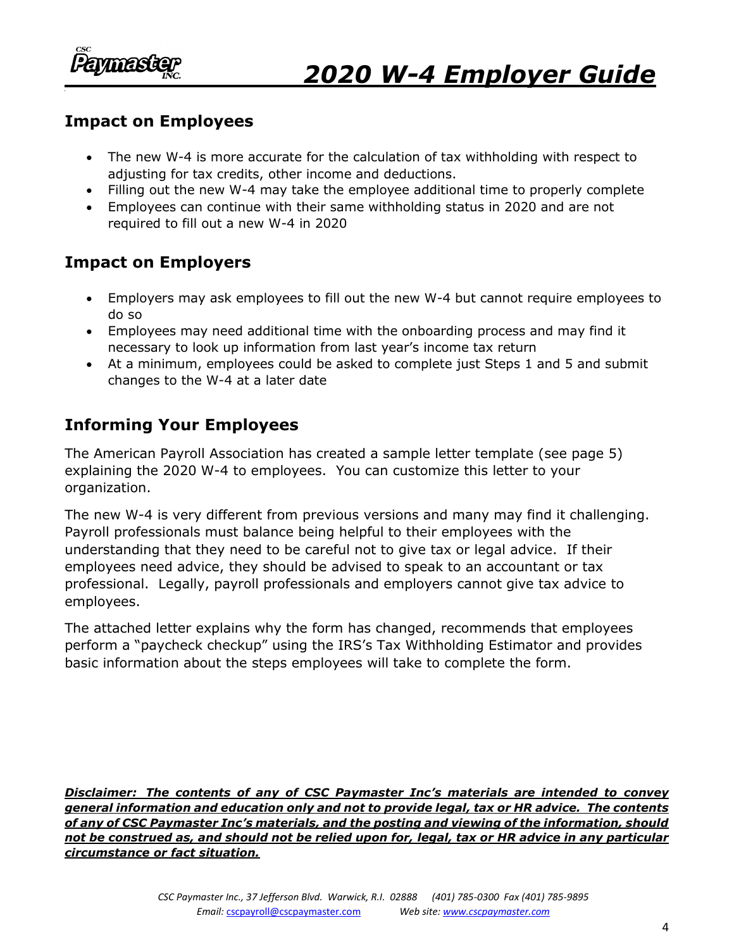

#### **Impact on Employees**

- The new W-4 is more accurate for the calculation of tax withholding with respect to adjusting for tax credits, other income and deductions.
- Filling out the new W-4 may take the employee additional time to properly complete
- Employees can continue with their same withholding status in 2020 and are not required to fill out a new W-4 in 2020

# **Impact on Employers**

- Employers may ask employees to fill out the new W-4 but cannot require employees to do so
- Employees may need additional time with the onboarding process and may find it necessary to look up information from last year's income tax return
- At a minimum, employees could be asked to complete just Steps 1 and 5 and submit changes to the W-4 at a later date

### **Informing Your Employees**

The American Payroll Association has created a sample letter template (see page 5) explaining the 2020 W-4 to employees. You can customize this letter to your organization.

The new W-4 is very different from previous versions and many may find it challenging. Payroll professionals must balance being helpful to their employees with the understanding that they need to be careful not to give tax or legal advice. If their employees need advice, they should be advised to speak to an accountant or tax professional. Legally, payroll professionals and employers cannot give tax advice to employees.

The attached letter explains why the form has changed, recommends that employees perform a "paycheck checkup" using the IRS's Tax Withholding Estimator and provides basic information about the steps employees will take to complete the form.

*Disclaimer: The contents of any of CSC Paymaster Inc's materials are intended to convey general information and education only and not to provide legal, tax or HR advice. The contents of any of CSC Paymaster Inc's materials, and the posting and viewing of the information, should not be construed as, and should not be relied upon for, legal, tax or HR advice in any particular circumstance or fact situation.*